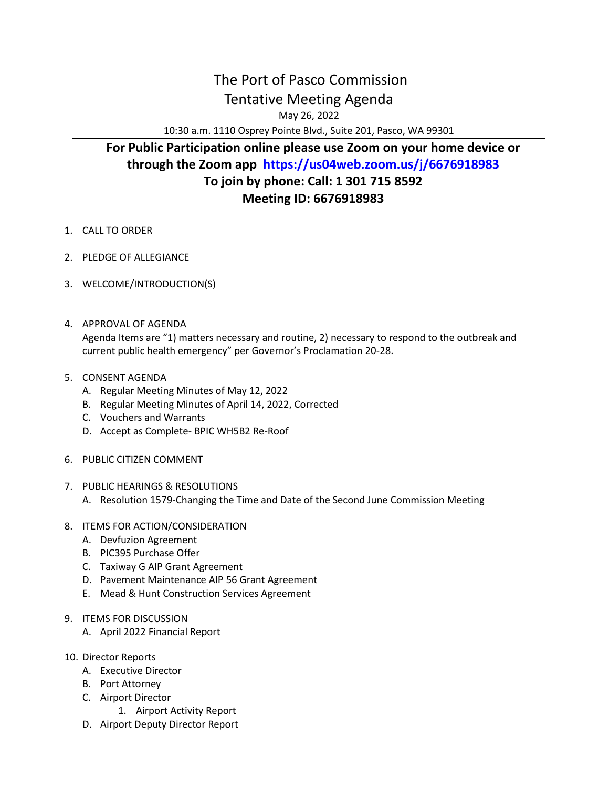## The Port of Pasco Commission Tentative Meeting Agenda

May 26, 2022

10:30 a.m. 1110 Osprey Pointe Blvd., Suite 201, Pasco, WA 99301

## **For Public Participation online please use Zoom on your home device or through the Zoom app <https://us04web.zoom.us/j/6676918983> To join by phone: Call: 1 301 715 8592 Meeting ID: 6676918983**

- 1. CALL TO ORDER
- 2. PLEDGE OF ALLEGIANCE
- 3. WELCOME/INTRODUCTION(S)
- 4. APPROVAL OF AGENDA Agenda Items are "1) matters necessary and routine, 2) necessary to respond to the outbreak and current public health emergency" per Governor's Proclamation 20-28.
- 5. CONSENT AGENDA
	- A. Regular Meeting Minutes of May 12, 2022
	- B. Regular Meeting Minutes of April 14, 2022, Corrected
	- C. Vouchers and Warrants
	- D. Accept as Complete- BPIC WH5B2 Re-Roof
- 6. PUBLIC CITIZEN COMMENT
- 7. PUBLIC HEARINGS & RESOLUTIONS
	- A. Resolution 1579-Changing the Time and Date of the Second June Commission Meeting
- 8. ITEMS FOR ACTION/CONSIDERATION
	- A. Devfuzion Agreement
	- B. PIC395 Purchase Offer
	- C. Taxiway G AIP Grant Agreement
	- D. Pavement Maintenance AIP 56 Grant Agreement
	- E. Mead & Hunt Construction Services Agreement
- 9. ITEMS FOR DISCUSSION
	- A. April 2022 Financial Report
- 10. Director Reports
	- A. Executive Director
	- B. Port Attorney
	- C. Airport Director
		- 1. Airport Activity Report
	- D. Airport Deputy Director Report